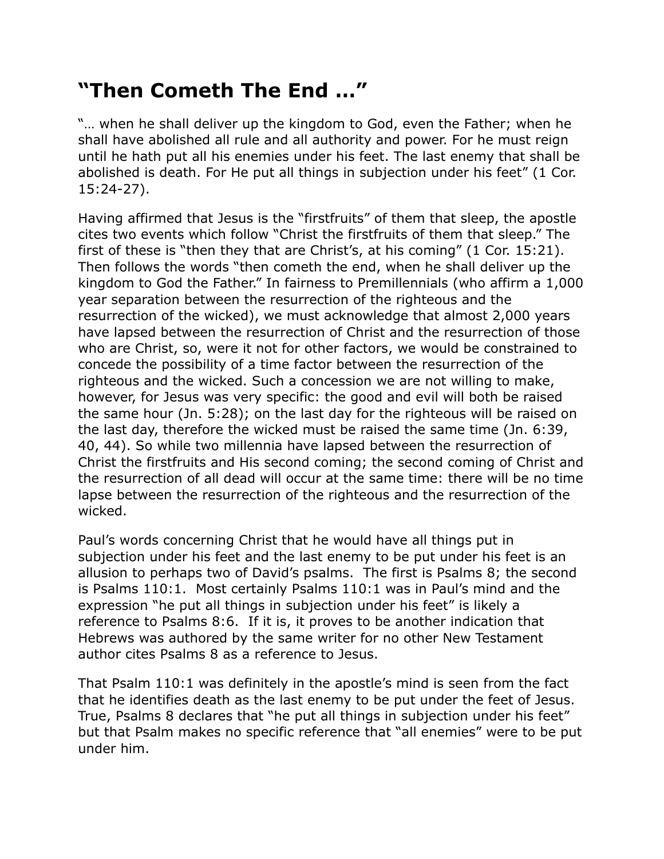## **"Then Cometh The End …"**

"… when he shall deliver up the kingdom to God, even the Father; when he shall have abolished all rule and all authority and power. For he must reign until he hath put all his enemies under his feet. The last enemy that shall be abolished is death. For He put all things in subjection under his feet" (1 Cor. 15:24-27).

Having affirmed that Jesus is the "firstfruits" of them that sleep, the apostle cites two events which follow "Christ the firstfruits of them that sleep." The first of these is "then they that are Christ's, at his coming" (1 Cor. 15:21). Then follows the words "then cometh the end, when he shall deliver up the kingdom to God the Father." In fairness to Premillennials (who affirm a 1,000 year separation between the resurrection of the righteous and the resurrection of the wicked), we must acknowledge that almost 2,000 years have lapsed between the resurrection of Christ and the resurrection of those who are Christ, so, were it not for other factors, we would be constrained to concede the possibility of a time factor between the resurrection of the righteous and the wicked. Such a concession we are not willing to make, however, for Jesus was very specific: the good and evil will both be raised the same hour (Jn. 5:28); on the last day for the righteous will be raised on the last day, therefore the wicked must be raised the same time (Jn. 6:39, 40, 44). So while two millennia have lapsed between the resurrection of Christ the firstfruits and His second coming; the second coming of Christ and the resurrection of all dead will occur at the same time: there will be no time lapse between the resurrection of the righteous and the resurrection of the wicked.

Paul's words concerning Christ that he would have all things put in subjection under his feet and the last enemy to be put under his feet is an allusion to perhaps two of David's psalms. The first is Psalms 8; the second is Psalms 110:1. Most certainly Psalms 110:1 was in Paul's mind and the expression "he put all things in subjection under his feet" is likely a reference to Psalms 8:6. If it is, it proves to be another indication that Hebrews was authored by the same writer for no other New Testament author cites Psalms 8 as a reference to Jesus.

That Psalm 110:1 was definitely in the apostle's mind is seen from the fact that he identifies death as the last enemy to be put under the feet of Jesus. True, Psalms 8 declares that "he put all things in subjection under his feet" but that Psalm makes no specific reference that "all enemies" were to be put under him.